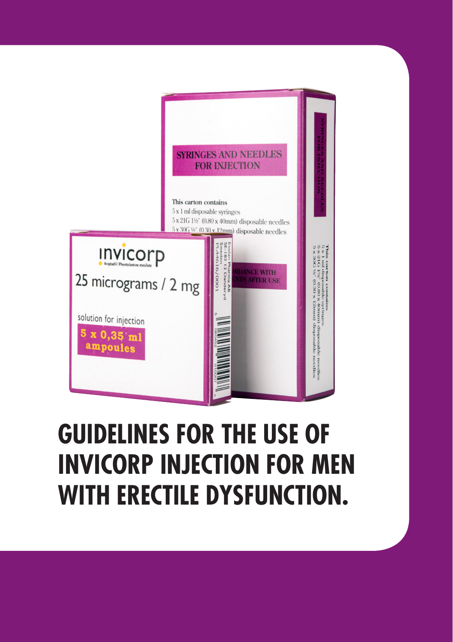

# **GUIDELINES FOR THE USE OF INVICORP INJECTION FOR MEN WITH ERECTILE DYSFUNCTION.**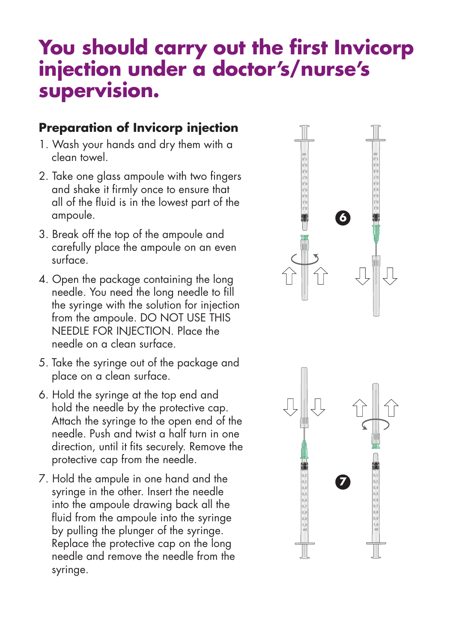## **You should carry out the first Invicorp injection under a doctor's/nurse's supervision.**

### **Preparation of Invicorp injection**

- 1. Wash your hands and dry them with a clean towel.
- 2. Take one glass ampoule with two fingers and shake it firmly once to ensure that all of the fluid is in the lowest part of the ampoule.
- 3. Break off the top of the ampoule and carefully place the ampoule on an even surface.
- 4. Open the package containing the long needle. You need the long needle to fill the syringe with the solution for injection from the ampoule. DO NOT USE THIS NEEDLE FOR INJECTION. Place the needle on a clean surface.
- 5. Take the syringe out of the package and place on a clean surface.
- 6. Hold the syringe at the top end and hold the needle by the protective cap. Attach the syringe to the open end of the needle. Push and twist a half turn in one direction, until it fits securely. Remove the protective cap from the needle.
- 7. Hold the ampule in one hand and the syringe in the other. Insert the needle into the ampoule drawing back all the fluid from the ampoule into the syringe by pulling the plunger of the syringe. Replace the protective cap on the long needle and remove the needle from the syringe.



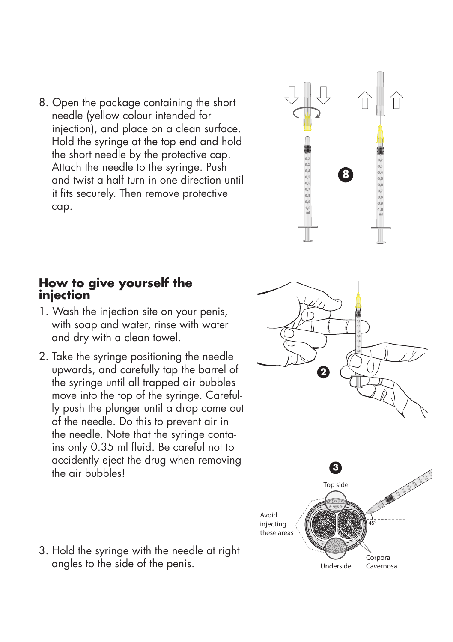8. Open the package containing the short needle (yellow colour intended for injection), and place on a clean surface. Hold the syringe at the top end and hold the short needle by the protective cap. Attach the needle to the syringe. Push and twist a half turn in one direction until it fits securely. Then remove protective cap.

# **8**

### **How to give yourself the injection**

- 1. Wash the injection site on your penis, with soap and water, rinse with water and dry with a clean towel.
- 2. Take the syringe positioning the needle upwards, and carefully tap the barrel of the syringe until all trapped air bubbles move into the top of the syringe. Carefully push the plunger until a drop come out of the needle. Do this to prevent air in the needle. Note that the syringe contains only 0.35 ml fluid. Be careful not to accidently eject the drug when removing the air bubbles!



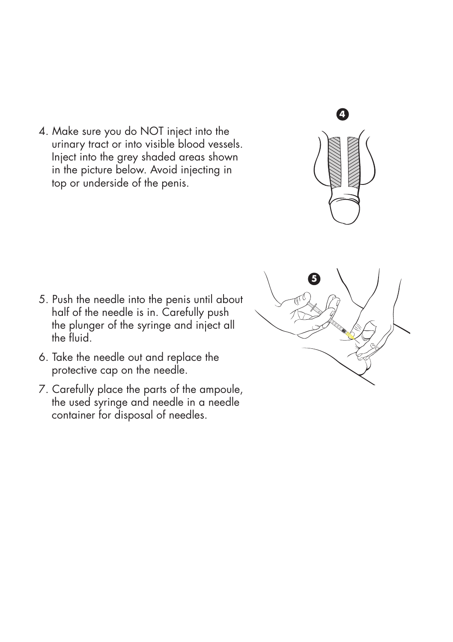4. Make sure you do NOT inject into the urinary tract or into visible blood vessels. Inject into the grey shaded areas shown in the picture below. Avoid injecting in top or underside of the penis.



- 5. Push the needle into the penis until about half of the needle is in. Carefully push the plunger of the syringe and inject all the fluid.
- 6. Take the needle out and replace the protective cap on the needle.
- 7. Carefully place the parts of the ampoule, the used syringe and needle in a needle container for disposal of needles.

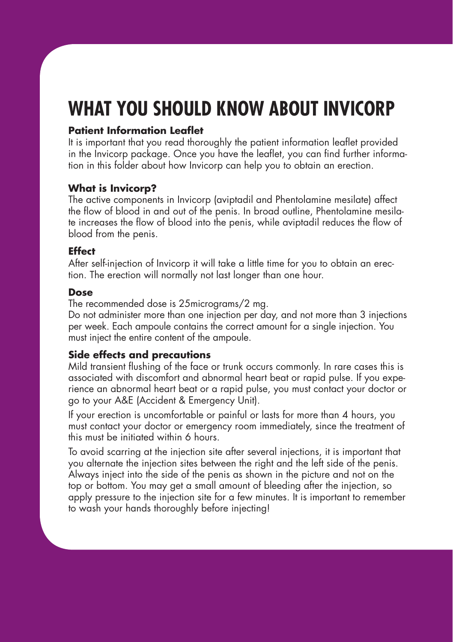# **WHAT YOU SHOULD KNOW ABOUT INVICORP**

### **Patient Information Leaflet**

It is important that you read thoroughly the patient information leaflet provided in the Invicorp package. Once you have the leaflet, you can find further information in this folder about how Invicorp can help you to obtain an erection.

### **What is Invicorp?**

The active components in Invicorp (aviptadil and Phentolamine mesilate) affect the flow of blood in and out of the penis. In broad outline, Phentolamine mesilate increases the flow of blood into the penis, while aviptadil reduces the flow of blood from the penis.

### **Effect**

After self-injection of Invicorp it will take a little time for you to obtain an erection. The erection will normally not last longer than one hour.

### **Dose**

The recommended dose is 25micrograms/2 mg.

Do not administer more than one injection per day, and not more than 3 injections per week. Each ampoule contains the correct amount for a single injection. You must inject the entire content of the ampoule.

### **Side effects and precautions**

Mild transient flushing of the face or trunk occurs commonly. In rare cases this is associated with discomfort and abnormal heart beat or rapid pulse. If you experience an abnormal heart beat or a rapid pulse, you must contact your doctor or go to your A&E (Accident & Emergency Unit).

If your erection is uncomfortable or painful or lasts for more than 4 hours, you must contact your doctor or emergency room immediately, since the treatment of this must be initiated within 6 hours.

To avoid scarring at the injection site after several injections, it is important that you alternate the injection sites between the right and the left side of the penis. Always inject into the side of the penis as shown in the picture and not on the top or bottom. You may get a small amount of bleeding after the injection, so apply pressure to the injection site for a few minutes. It is important to remember to wash your hands thoroughly before injecting!